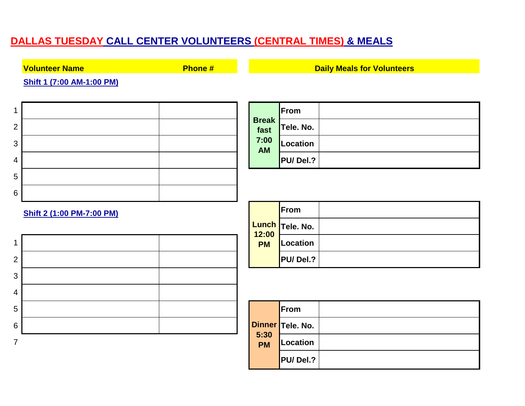## **DALLAS TUESDAY CALL CENTER VOLUNTEERS (CENTRAL TIMES) & MEALS**

**Volunteer Name Phone #**

**Shift 1 (7:00 AM-1:00 PM)**

| 1                                |                      | From             |  |
|----------------------------------|----------------------|------------------|--|
| $\overline{2}$                   | <b>Break</b><br>fast | Tele. No.        |  |
| $\mathbf{3}$                     | 7:00<br><b>AM</b>    | <b>Location</b>  |  |
| 4                                |                      | PU/Del.?         |  |
| $\overline{5}$                   |                      |                  |  |
| $6\,$                            |                      |                  |  |
| <b>Shift 2 (1:00 PM-7:00 PM)</b> |                      | From             |  |
|                                  | 12:00                | Lunch Tele. No.  |  |
| 1                                | <b>PM</b>            | <b>Location</b>  |  |
| $\overline{2}$                   |                      | PU/Del.?         |  |
| $\mathbf{3}$                     |                      |                  |  |
| $\overline{4}$                   |                      |                  |  |
| 5                                |                      | From             |  |
| $\,6$                            |                      | Dinner Tele. No. |  |
| $\overline{7}$                   | 5:30<br><b>PM</b>    | <b>Location</b>  |  |
|                                  |                      | -------          |  |

|               | From            |  |
|---------------|-----------------|--|
| Break<br>fast | Tele. No.       |  |
| 7:00<br>AM    | Location        |  |
|               | <b>PU/Del.?</b> |  |

**Daily Meals for Volunteers**

|                    | From                          |  |
|--------------------|-------------------------------|--|
| 12:00<br><b>PM</b> | <mark>.unch </mark> Tele. No. |  |
|                    | Location                      |  |
|                    | PU/Del.?                      |  |

|                   | From             |  |
|-------------------|------------------|--|
|                   | Dinner Tele. No. |  |
| 5:30<br><b>PM</b> | Location         |  |
|                   | PU/Del.?         |  |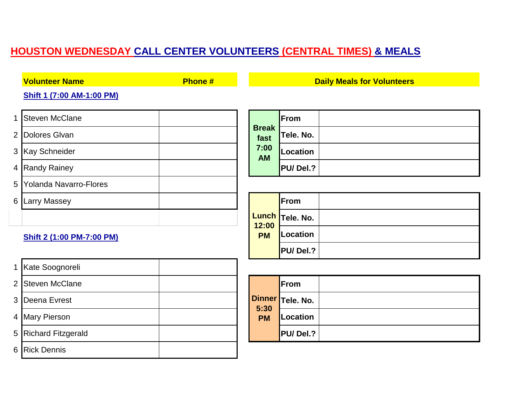## **HOUSTON WEDNESDAY CALL CENTER VOLUNTEERS (CENTRAL TIMES) & MEALS**

| <b>Volunteer Name</b>              | <b>Phone#</b> |                                    |                 | <b>Daily Meals for Volunteers</b> |
|------------------------------------|---------------|------------------------------------|-----------------|-----------------------------------|
| Shift 1 (7:00 AM-1:00 PM)          |               |                                    |                 |                                   |
| <b>Steven McClane</b><br>1         |               |                                    | From            |                                   |
| Dolores Glvan<br>$\overline{2}$    |               | <b>Break</b><br>fast               | Tele. No.       |                                   |
| 3 Kay Schneider                    |               | 7:00<br><b>AM</b>                  | <b>Location</b> |                                   |
| 4 Randy Rainey                     |               |                                    | PU/Del.?        |                                   |
| 5<br><b>Yolanda Navarro-Flores</b> |               |                                    |                 |                                   |
| 6<br><b>Larry Massey</b>           |               |                                    | From            |                                   |
|                                    |               |                                    | Lunch Tele. No. |                                   |
| Shift 2 (1:00 PM-7:00 PM)          |               | 12:00<br><b>PM</b>                 | Location        |                                   |
|                                    |               |                                    | PU/Del.?        |                                   |
| Kate Soognoreli<br>1               |               |                                    |                 |                                   |
| 2 Steven McClane                   |               |                                    | From            |                                   |
| 3<br>Deena Evrest                  |               | <b>Dinner</b><br>5:30<br><b>PM</b> | Tele. No.       |                                   |
| 4 Mary Pierson                     |               |                                    | <b>Location</b> |                                   |
| <b>Richard Fitzgerald</b><br>5     |               |                                    | PU/Del.?        |                                   |
| <b>Rick Dennis</b><br>6            |               |                                    |                 |                                   |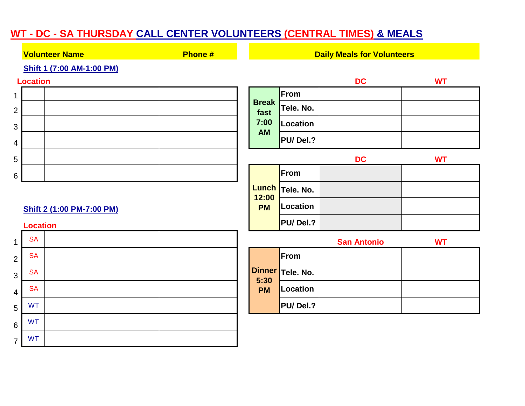## **WT - DC - SA THURSDAY CALL CENTER VOLUNTEERS (CENTRAL TIMES) & MEALS**

|                | Phone #<br><b>Volunteer Name</b>                    |  | <b>Daily Meals for Volunteers</b> |           |                    |           |
|----------------|-----------------------------------------------------|--|-----------------------------------|-----------|--------------------|-----------|
|                | Shift 1 (7:00 AM-1:00 PM)                           |  |                                   |           |                    |           |
|                | <b>Location</b>                                     |  |                                   |           | <b>DC</b>          | <b>WT</b> |
| $\mathbf 1$    |                                                     |  | <b>Break</b>                      | From      |                    |           |
| $\overline{2}$ |                                                     |  | fast                              | Tele. No. |                    |           |
| $\mathfrak{S}$ |                                                     |  | 7:00<br><b>AM</b>                 | Location  |                    |           |
| 4              |                                                     |  |                                   | PU/Del.?  |                    |           |
| 5              |                                                     |  |                                   |           | <b>DC</b>          | <b>WT</b> |
| $6\,$          |                                                     |  |                                   | From      |                    |           |
|                |                                                     |  | <b>Lunch</b><br>12:00             | Tele. No. |                    |           |
|                | <b>Shift 2 (1:00 PM-7:00 PM)</b><br><b>Location</b> |  |                                   | Location  |                    |           |
|                |                                                     |  |                                   | PU/Del.?  |                    |           |
| $\mathbf{1}$   | <b>SA</b>                                           |  |                                   |           | <b>San Antonio</b> | <b>WT</b> |
| $\overline{2}$ | <b>SA</b>                                           |  |                                   | From      |                    |           |
| $\mathbf{3}$   | <b>SA</b>                                           |  | <b>Dinner</b><br>5:30             | Tele. No. |                    |           |
| $\overline{4}$ | <b>SA</b>                                           |  | <b>PM</b>                         | Location  |                    |           |
| 5              | <b>WT</b>                                           |  |                                   | PU/Del.?  |                    |           |
| $\,6$          | <b>WT</b>                                           |  |                                   |           |                    |           |
| $\overline{7}$ | <b>WT</b>                                           |  |                                   |           |                    |           |